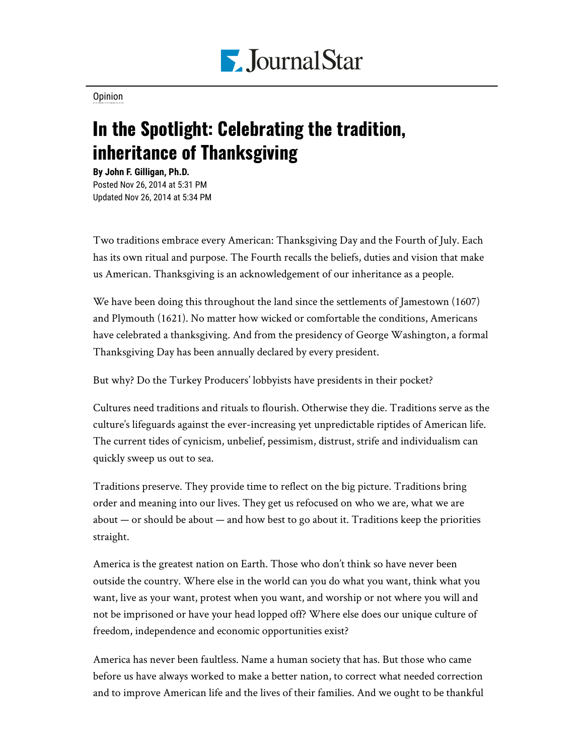

[Opinion](https://www.pjstar.com/search?text=Opinion)

## In the Spotlight: Celebrating the tradition, inheritance of Thanksgiving

**By John F. Gilligan, Ph.D.** Posted Nov 26, 2014 at 5:31 PM Updated Nov 26, 2014 at 5:34 PM

Two traditions embrace every American: Thanksgiving Day and the Fourth of July. Each has its own ritual and purpose. The Fourth recalls the beliefs, duties and vision that make us American. Thanksgiving is an acknowledgement of our inheritance as a people.

We have been doing this throughout the land since the settlements of Jamestown (1607) and Plymouth (1621). No matter how wicked or comfortable the conditions, Americans have celebrated a thanksgiving. And from the presidency of George Washington, a formal Thanksgiving Day has been annually declared by every president.

But why? Do the Turkey Producers' lobbyists have presidents in their pocket?

Cultures need traditions and rituals to flourish. Otherwise they die. Traditions serve as the culture's lifeguards against the ever-increasing yet unpredictable riptides of American life. The current tides of cynicism, unbelief, pessimism, distrust, strife and individualism can quickly sweep us out to sea.

Traditions preserve. They provide time to reflect on the big picture. Traditions bring order and meaning into our lives. They get us refocused on who we are, what we are about  $-$  or should be about  $-$  and how best to go about it. Traditions keep the priorities straight.

America is the greatest nation on Earth. Those who don't think so have never been outside the country. Where else in the world can you do what you want, think what you want, live as your want, protest when you want, and worship or not where you will and not be imprisoned or have your head lopped off? Where else does our unique culture of freedom, independence and economic opportunities exist?

America has never been faultless. Name a human society that has. But those who came before us have always worked to make a better nation, to correct what needed correction and to improve American life and the lives of their families. And we ought to be thankful